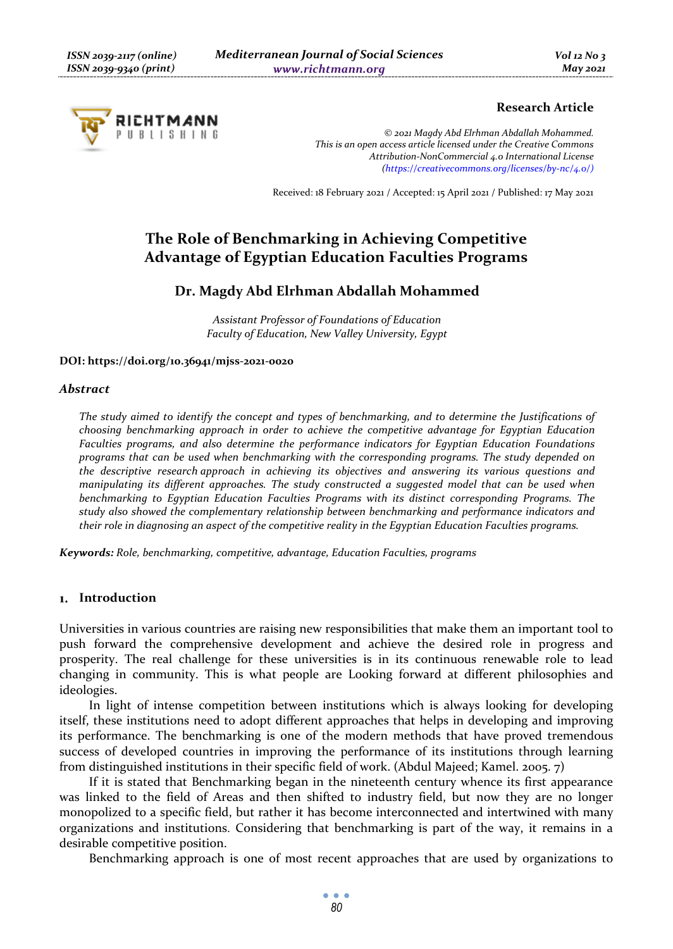

# **Research Article**

*© 2021 Magdy Abd Elrhman Abdallah Mohammed. This is an open access article licensed under the Creative Commons Attribution-NonCommercial 4.0 International License (https://creativecommons.org/licenses/by-nc/4.0/)*

Received: 18 February 2021 / Accepted: 15 April 2021 / Published: 17 May 2021

# **The Role of Benchmarking in Achieving Competitive Advantage of Egyptian Education Faculties Programs**

# **Dr. Magdy Abd Elrhman Abdallah Mohammed**

*Assistant Professor of Foundations of Education Faculty of Education, New Valley University, Egypt*

#### **DOI: https://doi.org/10.36941/mjss-2021-0020**

#### *Abstract*

*The study aimed to identify the concept and types of benchmarking, and to determine the Justifications of choosing benchmarking approach in order to achieve the competitive advantage for Egyptian Education Faculties programs, and also determine the performance indicators for Egyptian Education Foundations programs that can be used when benchmarking with the corresponding programs. The study depended on the descriptive research approach in achieving its objectives and answering its various questions and manipulating its different approaches. The study constructed a suggested model that can be used when benchmarking to Egyptian Education Faculties Programs with its distinct corresponding Programs. The study also showed the complementary relationship between benchmarking and performance indicators and their role in diagnosing an aspect of the competitive reality in the Egyptian Education Faculties programs.* 

*Keywords: Role, benchmarking, competitive, advantage, Education Faculties, programs* 

#### **Introduction**

Universities in various countries are raising new responsibilities that make them an important tool to push forward the comprehensive development and achieve the desired role in progress and prosperity. The real challenge for these universities is in its continuous renewable role to lead changing in community. This is what people are Looking forward at different philosophies and ideologies.

In light of intense competition between institutions which is always looking for developing itself, these institutions need to adopt different approaches that helps in developing and improving its performance. The benchmarking is one of the modern methods that have proved tremendous success of developed countries in improving the performance of its institutions through learning from distinguished institutions in their specific field of work. (Abdul Majeed; Kamel. 2005. 7)

If it is stated that Benchmarking began in the nineteenth century whence its first appearance was linked to the field of Areas and then shifted to industry field, but now they are no longer monopolized to a specific field, but rather it has become interconnected and intertwined with many organizations and institutions. Considering that benchmarking is part of the way, it remains in a desirable competitive position.

Benchmarking approach is one of most recent approaches that are used by organizations to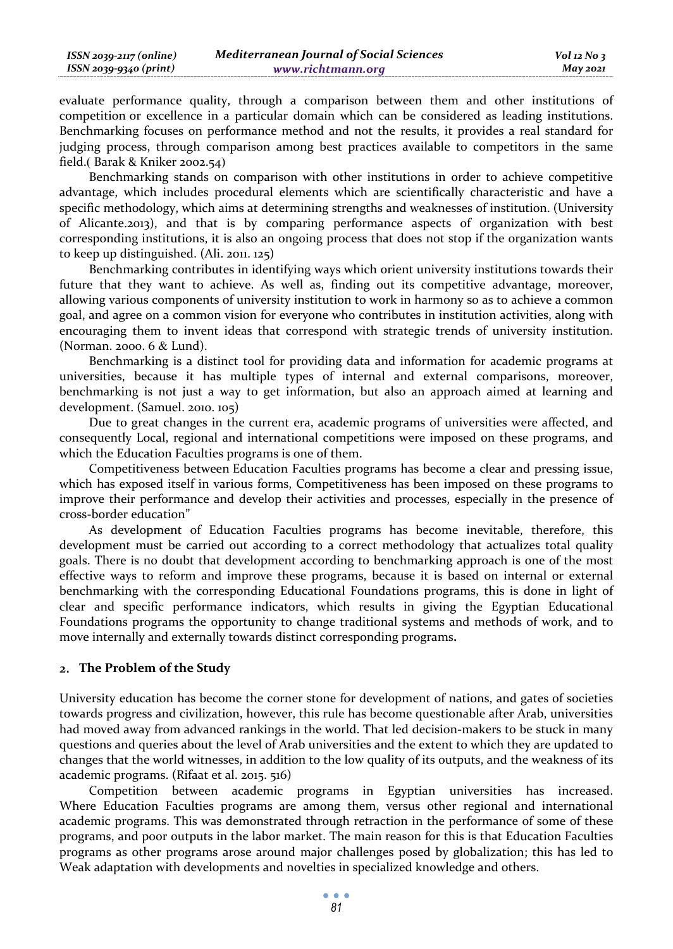evaluate performance quality, through a comparison between them and other institutions of competition or excellence in a particular domain which can be considered as leading institutions. Benchmarking focuses on performance method and not the results, it provides a real standard for judging process, through comparison among best practices available to competitors in the same field.( Barak & Kniker 2002.54)

Benchmarking stands on comparison with other institutions in order to achieve competitive advantage, which includes procedural elements which are scientifically characteristic and have a specific methodology, which aims at determining strengths and weaknesses of institution. (University of Alicante.2013), and that is by comparing performance aspects of organization with best corresponding institutions, it is also an ongoing process that does not stop if the organization wants to keep up distinguished. (Ali. 2011. 125)

Benchmarking contributes in identifying ways which orient university institutions towards their future that they want to achieve. As well as, finding out its competitive advantage, moreover, allowing various components of university institution to work in harmony so as to achieve a common goal, and agree on a common vision for everyone who contributes in institution activities, along with encouraging them to invent ideas that correspond with strategic trends of university institution. (Norman. 2000. 6 & Lund).

Benchmarking is a distinct tool for providing data and information for academic programs at universities, because it has multiple types of internal and external comparisons, moreover, benchmarking is not just a way to get information, but also an approach aimed at learning and development. (Samuel. 2010. 105)

Due to great changes in the current era, academic programs of universities were affected, and consequently Local, regional and international competitions were imposed on these programs, and which the Education Faculties programs is one of them.

Competitiveness between Education Faculties programs has become a clear and pressing issue, which has exposed itself in various forms, Competitiveness has been imposed on these programs to improve their performance and develop their activities and processes, especially in the presence of cross-border education"

As development of Education Faculties programs has become inevitable, therefore, this development must be carried out according to a correct methodology that actualizes total quality goals. There is no doubt that development according to benchmarking approach is one of the most effective ways to reform and improve these programs, because it is based on internal or external benchmarking with the corresponding Educational Foundations programs, this is done in light of clear and specific performance indicators, which results in giving the Egyptian Educational Foundations programs the opportunity to change traditional systems and methods of work, and to move internally and externally towards distinct corresponding programs**.** 

#### **The Problem of the Study**

University education has become the corner stone for development of nations, and gates of societies towards progress and civilization, however, this rule has become questionable after Arab, universities had moved away from advanced rankings in the world. That led decision-makers to be stuck in many questions and queries about the level of Arab universities and the extent to which they are updated to changes that the world witnesses, in addition to the low quality of its outputs, and the weakness of its academic programs. (Rifaat et al. 2015. 516)

Competition between academic programs in Egyptian universities has increased. Where Education Faculties programs are among them, versus other regional and international academic programs. This was demonstrated through retraction in the performance of some of these programs, and poor outputs in the labor market. The main reason for this is that Education Faculties programs as other programs arose around major challenges posed by globalization; this has led to Weak adaptation with developments and novelties in specialized knowledge and others.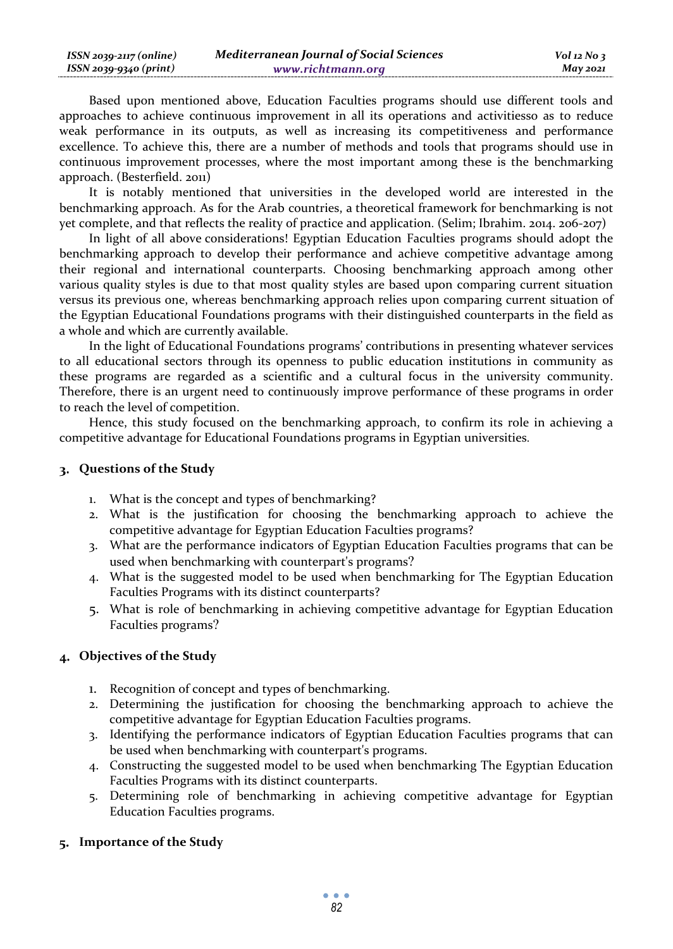Based upon mentioned above, Education Faculties programs should use different tools and approaches to achieve continuous improvement in all its operations and activitiesso as to reduce weak performance in its outputs, as well as increasing its competitiveness and performance excellence. To achieve this, there are a number of methods and tools that programs should use in continuous improvement processes, where the most important among these is the benchmarking approach. (Besterfield. 2011)

It is notably mentioned that universities in the developed world are interested in the benchmarking approach. As for the Arab countries, a theoretical framework for benchmarking is not yet complete, and that reflects the reality of practice and application. (Selim; Ibrahim. 2014. 206-207)

In light of all above considerations! Egyptian Education Faculties programs should adopt the benchmarking approach to develop their performance and achieve competitive advantage among their regional and international counterparts. Choosing benchmarking approach among other various quality styles is due to that most quality styles are based upon comparing current situation versus its previous one, whereas benchmarking approach relies upon comparing current situation of the Egyptian Educational Foundations programs with their distinguished counterparts in the field as a whole and which are currently available.

In the light of Educational Foundations programs' contributions in presenting whatever services to all educational sectors through its openness to public education institutions in community as these programs are regarded as a scientific and a cultural focus in the university community. Therefore, there is an urgent need to continuously improve performance of these programs in order to reach the level of competition.

Hence, this study focused on the benchmarking approach, to confirm its role in achieving a competitive advantage for Educational Foundations programs in Egyptian universities.

#### **Questions of the Study**

- 1. What is the concept and types of benchmarking?
- 2. What is the justification for choosing the benchmarking approach to achieve the competitive advantage for Egyptian Education Faculties programs?
- 3. What are the performance indicators of Egyptian Education Faculties programs that can be used when benchmarking with counterpart's programs?
- 4. What is the suggested model to be used when benchmarking for The Egyptian Education Faculties Programs with its distinct counterparts?
- 5. What is role of benchmarking in achieving competitive advantage for Egyptian Education Faculties programs?

### **Objectives of the Study**

- 1. Recognition of concept and types of benchmarking.
- 2. Determining the justification for choosing the benchmarking approach to achieve the competitive advantage for Egyptian Education Faculties programs.
- 3. Identifying the performance indicators of Egyptian Education Faculties programs that can be used when benchmarking with counterpart's programs.
- 4. Constructing the suggested model to be used when benchmarking The Egyptian Education Faculties Programs with its distinct counterparts.
- 5. Determining role of benchmarking in achieving competitive advantage for Egyptian Education Faculties programs.

# **Importance of the Study**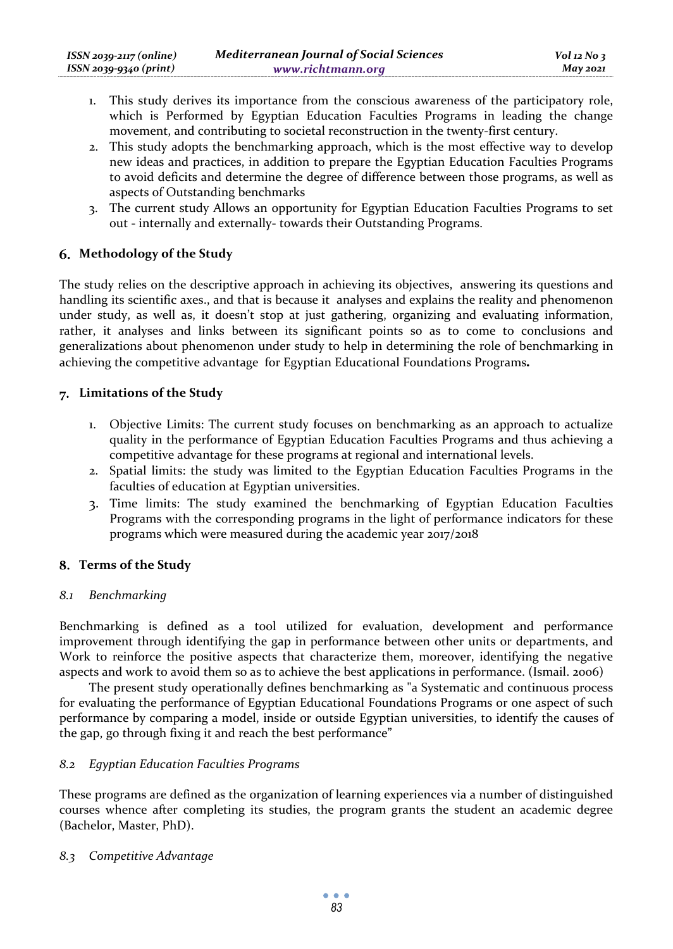- 1. This study derives its importance from the conscious awareness of the participatory role, which is Performed by Egyptian Education Faculties Programs in leading the change movement, and contributing to societal reconstruction in the twenty-first century.
- 2. This study adopts the benchmarking approach, which is the most effective way to develop new ideas and practices, in addition to prepare the Egyptian Education Faculties Programs to avoid deficits and determine the degree of difference between those programs, as well as aspects of Outstanding benchmarks
- 3. The current study Allows an opportunity for Egyptian Education Faculties Programs to set out - internally and externally- towards their Outstanding Programs.

# **Methodology of the Study**

The study relies on the descriptive approach in achieving its objectives, answering its questions and handling its scientific axes., and that is because it analyses and explains the reality and phenomenon under study, as well as, it doesn't stop at just gathering, organizing and evaluating information, rather, it analyses and links between its significant points so as to come to conclusions and generalizations about phenomenon under study to help in determining the role of benchmarking in achieving the competitive advantage for Egyptian Educational Foundations Programs**.** 

# **Limitations of the Study**

- 1. Objective Limits: The current study focuses on benchmarking as an approach to actualize quality in the performance of Egyptian Education Faculties Programs and thus achieving a competitive advantage for these programs at regional and international levels.
- 2. Spatial limits: the study was limited to the Egyptian Education Faculties Programs in the faculties of education at Egyptian universities.
- 3. Time limits: The study examined the benchmarking of Egyptian Education Faculties Programs with the corresponding programs in the light of performance indicators for these programs which were measured during the academic year 2017/2018

### **Terms of the Study**

### *8.1 Benchmarking*

Benchmarking is defined as a tool utilized for evaluation, development and performance improvement through identifying the gap in performance between other units or departments, and Work to reinforce the positive aspects that characterize them, moreover, identifying the negative aspects and work to avoid them so as to achieve the best applications in performance. (Ismail. 2006)

The present study operationally defines benchmarking as "a Systematic and continuous process for evaluating the performance of Egyptian Educational Foundations Programs or one aspect of such performance by comparing a model, inside or outside Egyptian universities, to identify the causes of the gap, go through fixing it and reach the best performance"

### *8.2 Egyptian Education Faculties Programs*

These programs are defined as the organization of learning experiences via a number of distinguished courses whence after completing its studies, the program grants the student an academic degree (Bachelor, Master, PhD).

### *8.3 Competitive Advantage*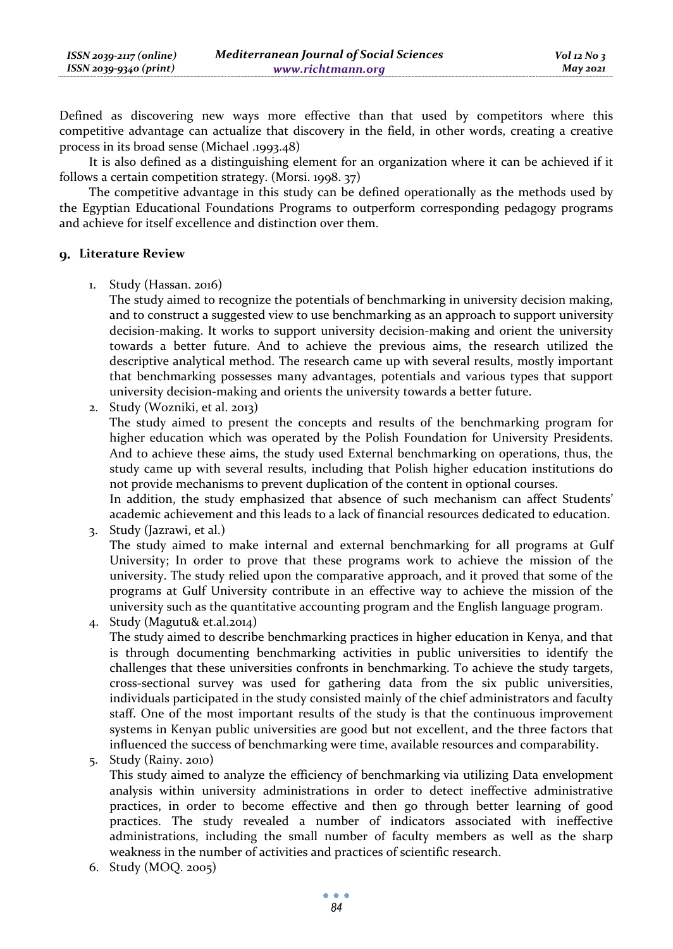Defined as discovering new ways more effective than that used by competitors where this competitive advantage can actualize that discovery in the field, in other words, creating a creative process in its broad sense (Michael .1993.48)

It is also defined as a distinguishing element for an organization where it can be achieved if it follows a certain competition strategy. (Morsi. 1998. 37)

The competitive advantage in this study can be defined operationally as the methods used by the Egyptian Educational Foundations Programs to outperform corresponding pedagogy programs and achieve for itself excellence and distinction over them.

#### **Literature Review**

1. Study (Hassan. 2016)

The study aimed to recognize the potentials of benchmarking in university decision making, and to construct a suggested view to use benchmarking as an approach to support university decision-making. It works to support university decision-making and orient the university towards a better future. And to achieve the previous aims, the research utilized the descriptive analytical method. The research came up with several results, mostly important that benchmarking possesses many advantages, potentials and various types that support university decision-making and orients the university towards a better future.

2. Study (Wozniki, et al. 2013)

The study aimed to present the concepts and results of the benchmarking program for higher education which was operated by the Polish Foundation for University Presidents. And to achieve these aims, the study used External benchmarking on operations, thus, the study came up with several results, including that Polish higher education institutions do not provide mechanisms to prevent duplication of the content in optional courses.

In addition, the study emphasized that absence of such mechanism can affect Students' academic achievement and this leads to a lack of financial resources dedicated to education. 3. Study (Jazrawi, et al.)

The study aimed to make internal and external benchmarking for all programs at Gulf University; In order to prove that these programs work to achieve the mission of the university. The study relied upon the comparative approach, and it proved that some of the programs at Gulf University contribute in an effective way to achieve the mission of the university such as the quantitative accounting program and the English language program.

4. Study (Magutu& et.al.2014)

The study aimed to describe benchmarking practices in higher education in Kenya, and that is through documenting benchmarking activities in public universities to identify the challenges that these universities confronts in benchmarking. To achieve the study targets, cross-sectional survey was used for gathering data from the six public universities, individuals participated in the study consisted mainly of the chief administrators and faculty staff. One of the most important results of the study is that the continuous improvement systems in Kenyan public universities are good but not excellent, and the three factors that influenced the success of benchmarking were time, available resources and comparability.

5. Study (Rainy. 2010)

This study aimed to analyze the efficiency of benchmarking via utilizing Data envelopment analysis within university administrations in order to detect ineffective administrative practices, in order to become effective and then go through better learning of good practices. The study revealed a number of indicators associated with ineffective administrations, including the small number of faculty members as well as the sharp weakness in the number of activities and practices of scientific research.

6. Study (MOQ. 2005)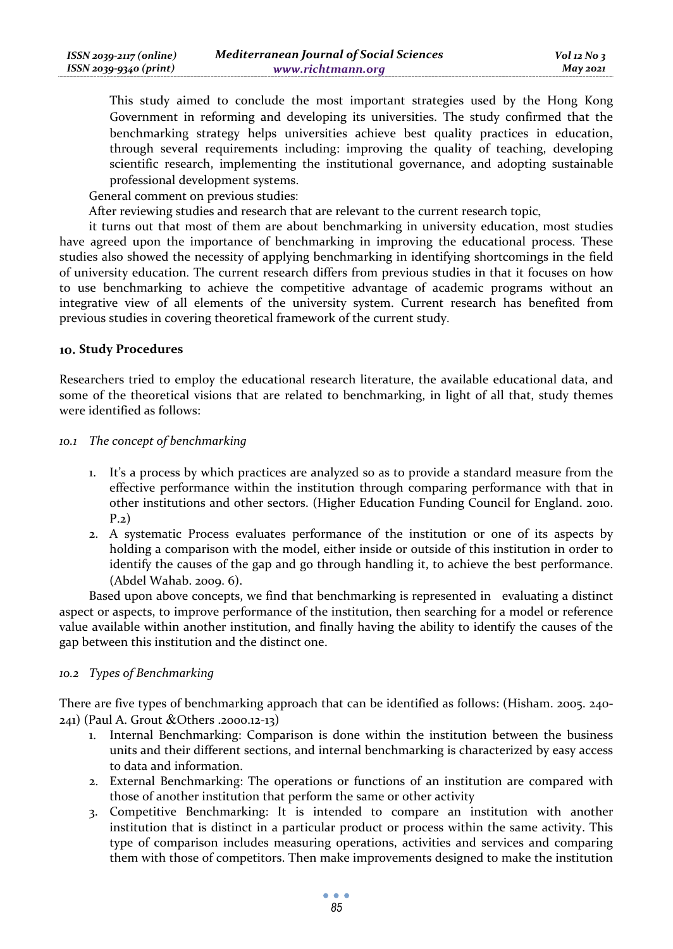This study aimed to conclude the most important strategies used by the Hong Kong Government in reforming and developing its universities. The study confirmed that the benchmarking strategy helps universities achieve best quality practices in education, through several requirements including: improving the quality of teaching, developing scientific research, implementing the institutional governance, and adopting sustainable professional development systems.

General comment on previous studies:

After reviewing studies and research that are relevant to the current research topic,

it turns out that most of them are about benchmarking in university education, most studies have agreed upon the importance of benchmarking in improving the educational process. These studies also showed the necessity of applying benchmarking in identifying shortcomings in the field of university education. The current research differs from previous studies in that it focuses on how to use benchmarking to achieve the competitive advantage of academic programs without an integrative view of all elements of the university system. Current research has benefited from previous studies in covering theoretical framework of the current study.

#### **Study Procedures**

Researchers tried to employ the educational research literature, the available educational data, and some of the theoretical visions that are related to benchmarking, in light of all that, study themes were identified as follows:

*10.1 The concept of benchmarking* 

- 1. It's a process by which practices are analyzed so as to provide a standard measure from the effective performance within the institution through comparing performance with that in other institutions and other sectors. (Higher Education Funding Council for England. 2010. P.2)
- 2. A systematic Process evaluates performance of the institution or one of its aspects by holding a comparison with the model, either inside or outside of this institution in order to identify the causes of the gap and go through handling it, to achieve the best performance. (Abdel Wahab. 2009. 6).

Based upon above concepts, we find that benchmarking is represented in evaluating a distinct aspect or aspects, to improve performance of the institution, then searching for a model or reference value available within another institution, and finally having the ability to identify the causes of the gap between this institution and the distinct one.

#### *10.2 Types of Benchmarking*

There are five types of benchmarking approach that can be identified as follows: (Hisham. 2005. 240- 241) (Paul A. Grout &Others .2000.12-13)

- 1. Internal Benchmarking: Comparison is done within the institution between the business units and their different sections, and internal benchmarking is characterized by easy access to data and information.
- 2. External Benchmarking: The operations or functions of an institution are compared with those of another institution that perform the same or other activity
- 3. Competitive Benchmarking: It is intended to compare an institution with another institution that is distinct in a particular product or process within the same activity. This type of comparison includes measuring operations, activities and services and comparing them with those of competitors. Then make improvements designed to make the institution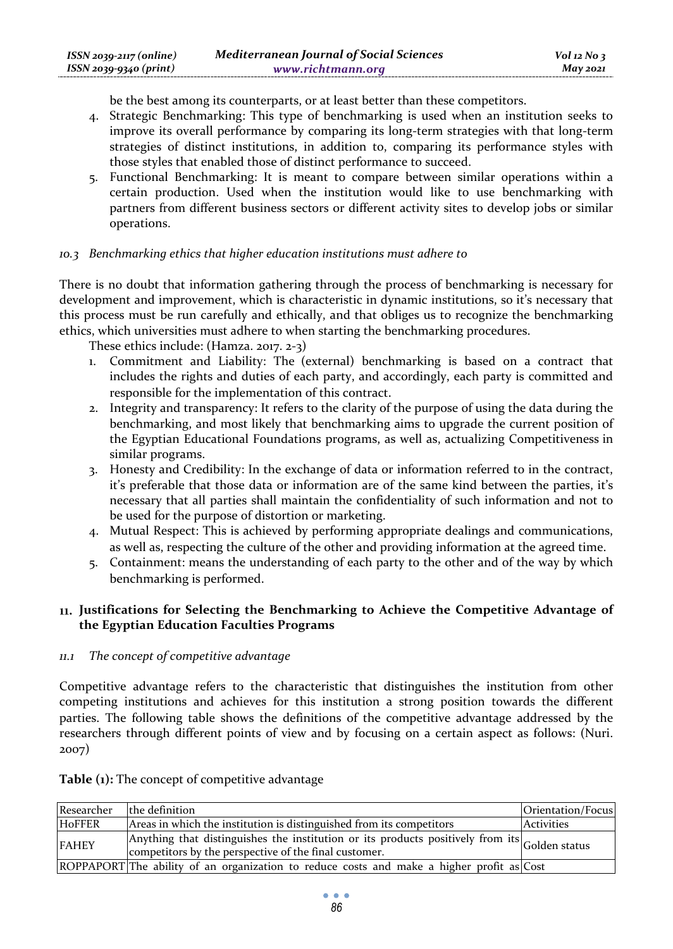be the best among its counterparts, or at least better than these competitors.

- 4. Strategic Benchmarking: This type of benchmarking is used when an institution seeks to improve its overall performance by comparing its long-term strategies with that long-term strategies of distinct institutions, in addition to, comparing its performance styles with those styles that enabled those of distinct performance to succeed.
- 5. Functional Benchmarking: It is meant to compare between similar operations within a certain production. Used when the institution would like to use benchmarking with partners from different business sectors or different activity sites to develop jobs or similar operations.

#### *10.3 Benchmarking ethics that higher education institutions must adhere to*

There is no doubt that information gathering through the process of benchmarking is necessary for development and improvement, which is characteristic in dynamic institutions, so it's necessary that this process must be run carefully and ethically, and that obliges us to recognize the benchmarking ethics, which universities must adhere to when starting the benchmarking procedures.

These ethics include: (Hamza. 2017. 2-3)

- 1. Commitment and Liability: The (external) benchmarking is based on a contract that includes the rights and duties of each party, and accordingly, each party is committed and responsible for the implementation of this contract.
- 2. Integrity and transparency: It refers to the clarity of the purpose of using the data during the benchmarking, and most likely that benchmarking aims to upgrade the current position of the Egyptian Educational Foundations programs, as well as, actualizing Competitiveness in similar programs.
- 3. Honesty and Credibility: In the exchange of data or information referred to in the contract, it's preferable that those data or information are of the same kind between the parties, it's necessary that all parties shall maintain the confidentiality of such information and not to be used for the purpose of distortion or marketing.
- 4. Mutual Respect: This is achieved by performing appropriate dealings and communications, as well as, respecting the culture of the other and providing information at the agreed time.
- 5. Containment: means the understanding of each party to the other and of the way by which benchmarking is performed.

### **Justifications for Selecting the Benchmarking to Achieve the Competitive Advantage of the Egyptian Education Faculties Programs**

### *11.1 The concept of competitive advantage*

Competitive advantage refers to the characteristic that distinguishes the institution from other competing institutions and achieves for this institution a strong position towards the different parties. The following table shows the definitions of the competitive advantage addressed by the researchers through different points of view and by focusing on a certain aspect as follows: (Nuri. 2007)

| Researcher    | the definition                                                                                                                                         | Orientation/Focus |
|---------------|--------------------------------------------------------------------------------------------------------------------------------------------------------|-------------------|
| <b>HoFFER</b> | Areas in which the institution is distinguished from its competitors                                                                                   | Activities        |
| <b>FAHEY</b>  | Anything that distinguishes the institution or its products positively from its Golden status<br>competitors by the perspective of the final customer. |                   |
|               | ROPPAPORT The ability of an organization to reduce costs and make a higher profit as $Cost$                                                            |                   |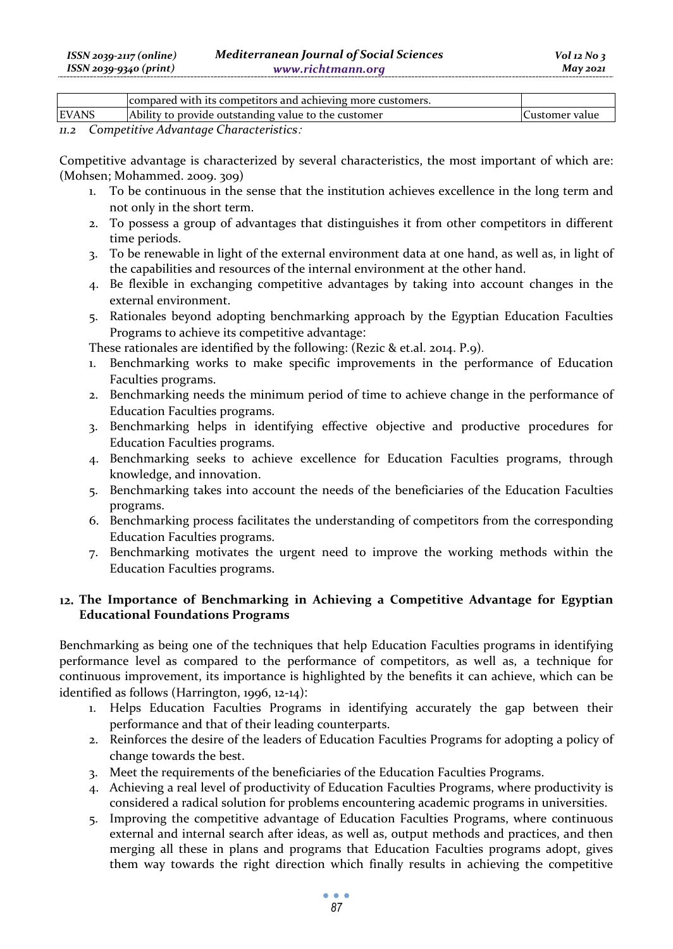|              | compared with its competitors and achieving more customers. |                |
|--------------|-------------------------------------------------------------|----------------|
| <b>EVANS</b> | Ability to provide outstanding value to the customer        | Customer value |
|              |                                                             |                |

#### *11.2 Competitive Advantage Characteristics*:

Competitive advantage is characterized by several characteristics, the most important of which are: (Mohsen; Mohammed. 2009. 309)

- 1. To be continuous in the sense that the institution achieves excellence in the long term and not only in the short term.
- 2. To possess a group of advantages that distinguishes it from other competitors in different time periods.
- 3. To be renewable in light of the external environment data at one hand, as well as, in light of the capabilities and resources of the internal environment at the other hand.
- 4. Be flexible in exchanging competitive advantages by taking into account changes in the external environment.
- 5. Rationales beyond adopting benchmarking approach by the Egyptian Education Faculties Programs to achieve its competitive advantage:

These rationales are identified by the following: (Rezic & et.al. 2014. P.9).

- 1. Benchmarking works to make specific improvements in the performance of Education Faculties programs.
- 2. Benchmarking needs the minimum period of time to achieve change in the performance of Education Faculties programs.
- 3. Benchmarking helps in identifying effective objective and productive procedures for Education Faculties programs.
- 4. Benchmarking seeks to achieve excellence for Education Faculties programs, through knowledge, and innovation.
- 5. Benchmarking takes into account the needs of the beneficiaries of the Education Faculties programs.
- 6. Benchmarking process facilitates the understanding of competitors from the corresponding Education Faculties programs.
- 7. Benchmarking motivates the urgent need to improve the working methods within the Education Faculties programs.

# **The Importance of Benchmarking in Achieving a Competitive Advantage for Egyptian Educational Foundations Programs**

Benchmarking as being one of the techniques that help Education Faculties programs in identifying performance level as compared to the performance of competitors, as well as, a technique for continuous improvement, its importance is highlighted by the benefits it can achieve, which can be identified as follows (Harrington, 1996, 12-14):

- 1. Helps Education Faculties Programs in identifying accurately the gap between their performance and that of their leading counterparts.
- 2. Reinforces the desire of the leaders of Education Faculties Programs for adopting a policy of change towards the best.
- 3. Meet the requirements of the beneficiaries of the Education Faculties Programs.
- 4. Achieving a real level of productivity of Education Faculties Programs, where productivity is considered a radical solution for problems encountering academic programs in universities.
- 5. Improving the competitive advantage of Education Faculties Programs, where continuous external and internal search after ideas, as well as, output methods and practices, and then merging all these in plans and programs that Education Faculties programs adopt, gives them way towards the right direction which finally results in achieving the competitive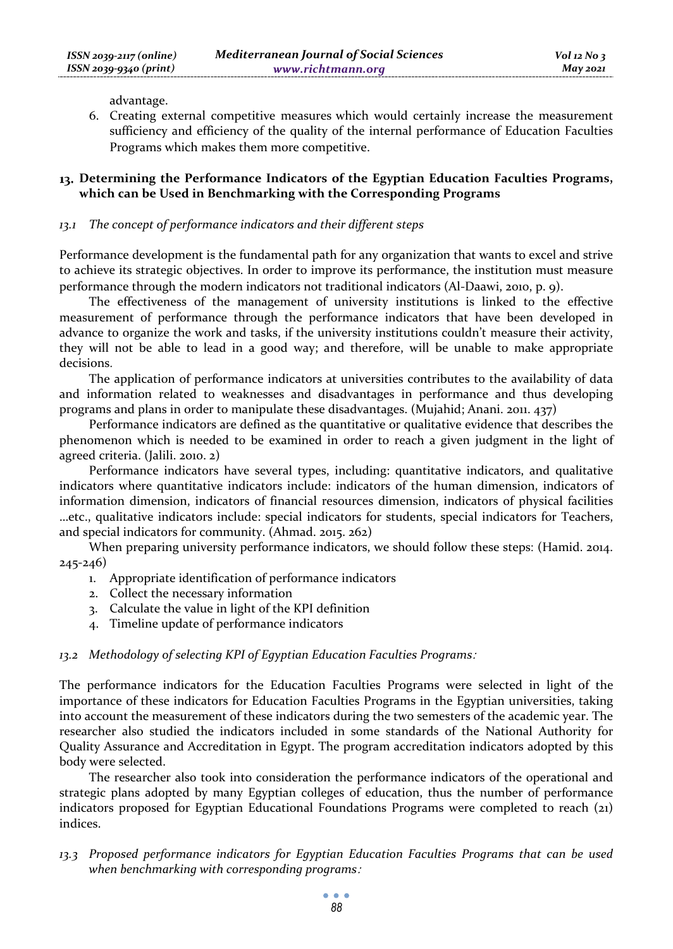advantage.

6. Creating external competitive measures which would certainly increase the measurement sufficiency and efficiency of the quality of the internal performance of Education Faculties Programs which makes them more competitive.

### **Determining the Performance Indicators of the Egyptian Education Faculties Programs, which can be Used in Benchmarking with the Corresponding Programs**

#### *13.1 The concept of performance indicators and their different steps*

Performance development is the fundamental path for any organization that wants to excel and strive to achieve its strategic objectives. In order to improve its performance, the institution must measure performance through the modern indicators not traditional indicators (Al-Daawi, 2010, p. 9).

The effectiveness of the management of university institutions is linked to the effective measurement of performance through the performance indicators that have been developed in advance to organize the work and tasks, if the university institutions couldn't measure their activity, they will not be able to lead in a good way; and therefore, will be unable to make appropriate decisions.

The application of performance indicators at universities contributes to the availability of data and information related to weaknesses and disadvantages in performance and thus developing programs and plans in order to manipulate these disadvantages. (Mujahid; Anani. 2011. 437)

Performance indicators are defined as the quantitative or qualitative evidence that describes the phenomenon which is needed to be examined in order to reach a given judgment in the light of agreed criteria. (Jalili. 2010. 2)

Performance indicators have several types, including: quantitative indicators, and qualitative indicators where quantitative indicators include: indicators of the human dimension, indicators of information dimension, indicators of financial resources dimension, indicators of physical facilities …etc., qualitative indicators include: special indicators for students, special indicators for Teachers, and special indicators for community. (Ahmad. 2015. 262)

When preparing university performance indicators, we should follow these steps: (Hamid. 2014. 245-246)

- 1. Appropriate identification of performance indicators
- 2. Collect the necessary information
- 3. Calculate the value in light of the KPI definition
- 4. Timeline update of performance indicators

### *13.2 Methodology of selecting KPI of Egyptian Education Faculties Programs*:

The performance indicators for the Education Faculties Programs were selected in light of the importance of these indicators for Education Faculties Programs in the Egyptian universities, taking into account the measurement of these indicators during the two semesters of the academic year. The researcher also studied the indicators included in some standards of the National Authority for Quality Assurance and Accreditation in Egypt. The program accreditation indicators adopted by this body were selected.

The researcher also took into consideration the performance indicators of the operational and strategic plans adopted by many Egyptian colleges of education, thus the number of performance indicators proposed for Egyptian Educational Foundations Programs were completed to reach (21) indices.

*13.3 Proposed performance indicators for Egyptian Education Faculties Programs that can be used when benchmarking with corresponding programs*: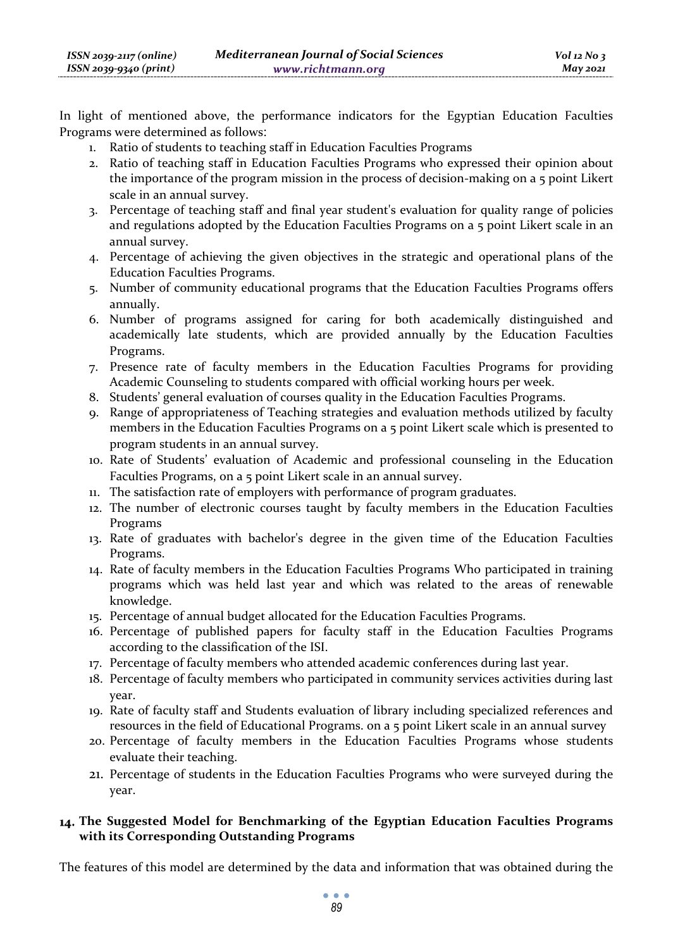In light of mentioned above, the performance indicators for the Egyptian Education Faculties Programs were determined as follows:

- 1. Ratio of students to teaching staff in Education Faculties Programs
- 2. Ratio of teaching staff in Education Faculties Programs who expressed their opinion about the importance of the program mission in the process of decision-making on a 5 point Likert scale in an annual survey.
- 3. Percentage of teaching staff and final year student's evaluation for quality range of policies and regulations adopted by the Education Faculties Programs on a 5 point Likert scale in an annual survey.
- 4. Percentage of achieving the given objectives in the strategic and operational plans of the Education Faculties Programs.
- 5. Number of community educational programs that the Education Faculties Programs offers annually.
- 6. Number of programs assigned for caring for both academically distinguished and academically late students, which are provided annually by the Education Faculties Programs.
- 7. Presence rate of faculty members in the Education Faculties Programs for providing Academic Counseling to students compared with official working hours per week.
- 8. Students' general evaluation of courses quality in the Education Faculties Programs.
- 9. Range of appropriateness of Teaching strategies and evaluation methods utilized by faculty members in the Education Faculties Programs on a 5 point Likert scale which is presented to program students in an annual survey.
- 10. Rate of Students' evaluation of Academic and professional counseling in the Education Faculties Programs, on a 5 point Likert scale in an annual survey.
- 11. The satisfaction rate of employers with performance of program graduates.
- 12. The number of electronic courses taught by faculty members in the Education Faculties Programs
- 13. Rate of graduates with bachelor's degree in the given time of the Education Faculties Programs.
- 14. Rate of faculty members in the Education Faculties Programs Who participated in training programs which was held last year and which was related to the areas of renewable knowledge.
- 15. Percentage of annual budget allocated for the Education Faculties Programs.
- 16. Percentage of published papers for faculty staff in the Education Faculties Programs according to the classification of the ISI.
- 17. Percentage of faculty members who attended academic conferences during last year.
- 18. Percentage of faculty members who participated in community services activities during last year.
- 19. Rate of faculty staff and Students evaluation of library including specialized references and resources in the field of Educational Programs. on a 5 point Likert scale in an annual survey
- 20. Percentage of faculty members in the Education Faculties Programs whose students evaluate their teaching.
- 21. Percentage of students in the Education Faculties Programs who were surveyed during the year.

# **The Suggested Model for Benchmarking of the Egyptian Education Faculties Programs with its Corresponding Outstanding Programs**

The features of this model are determined by the data and information that was obtained during the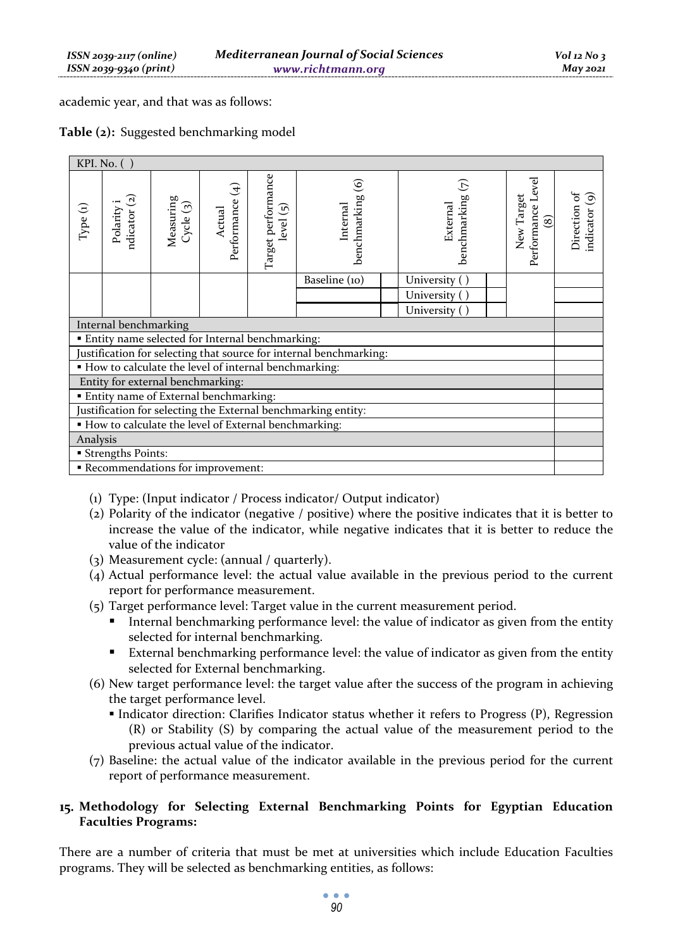academic year, and that was as follows:

|  |  | Table (2): Suggested benchmarking model |  |
|--|--|-----------------------------------------|--|
|--|--|-----------------------------------------|--|

|                                                               | KPI. No. ( )             |                                                        |                           |                                 |                                                                    |                                |  |                                                  |                                              |
|---------------------------------------------------------------|--------------------------|--------------------------------------------------------|---------------------------|---------------------------------|--------------------------------------------------------------------|--------------------------------|--|--------------------------------------------------|----------------------------------------------|
| Type (1)                                                      | ndicator(z)<br>Polarity  | Measuring<br>Cycle (3)                                 | Performance (4)<br>Actual | Target performance<br>level (5) | benchmarking (6)<br>Internal                                       | F)<br>benchmarking<br>External |  | Performance Level<br>New Target<br>$\circled{s}$ | $\vec{\circ}$<br>೨<br>Direction<br>indicator |
|                                                               |                          |                                                        |                           |                                 | Baseline (10)                                                      | University                     |  |                                                  |                                              |
|                                                               |                          |                                                        |                           |                                 |                                                                    | University ()                  |  |                                                  |                                              |
|                                                               |                          |                                                        |                           |                                 |                                                                    | University ()                  |  |                                                  |                                              |
|                                                               | Internal benchmarking    |                                                        |                           |                                 |                                                                    |                                |  |                                                  |                                              |
|                                                               |                          | <b>Entity name selected for Internal benchmarking:</b> |                           |                                 |                                                                    |                                |  |                                                  |                                              |
|                                                               |                          |                                                        |                           |                                 | Justification for selecting that source for internal benchmarking: |                                |  |                                                  |                                              |
|                                                               |                          | How to calculate the level of internal benchmarking:   |                           |                                 |                                                                    |                                |  |                                                  |                                              |
|                                                               |                          | Entity for external benchmarking:                      |                           |                                 |                                                                    |                                |  |                                                  |                                              |
|                                                               |                          | <b>Entity name of External benchmarking:</b>           |                           |                                 |                                                                    |                                |  |                                                  |                                              |
| Justification for selecting the External benchmarking entity: |                          |                                                        |                           |                                 |                                                                    |                                |  |                                                  |                                              |
| • How to calculate the level of External benchmarking:        |                          |                                                        |                           |                                 |                                                                    |                                |  |                                                  |                                              |
| Analysis                                                      |                          |                                                        |                           |                                 |                                                                    |                                |  |                                                  |                                              |
|                                                               | <b>Strengths Points:</b> |                                                        |                           |                                 |                                                                    |                                |  |                                                  |                                              |
|                                                               |                          | Recommendations for improvement:                       |                           |                                 |                                                                    |                                |  |                                                  |                                              |

- (1) Type: (Input indicator / Process indicator/ Output indicator)
- (2) Polarity of the indicator (negative / positive) where the positive indicates that it is better to increase the value of the indicator, while negative indicates that it is better to reduce the value of the indicator
- (3) Measurement cycle: (annual / quarterly).
- (4) Actual performance level: the actual value available in the previous period to the current report for performance measurement.
- (5) Target performance level: Target value in the current measurement period.
	- **III** Internal benchmarking performance level: the value of indicator as given from the entity selected for internal benchmarking.
	- External benchmarking performance level: the value of indicator as given from the entity selected for External benchmarking.
- (6) New target performance level: the target value after the success of the program in achieving the target performance level.
	- **Indicator direction: Clarifies Indicator status whether it refers to Progress (P), Regression** (R) or Stability (S) by comparing the actual value of the measurement period to the previous actual value of the indicator.
- (7) Baseline: the actual value of the indicator available in the previous period for the current report of performance measurement.

# **Methodology for Selecting External Benchmarking Points for Egyptian Education Faculties Programs:**

There are a number of criteria that must be met at universities which include Education Faculties programs. They will be selected as benchmarking entities, as follows: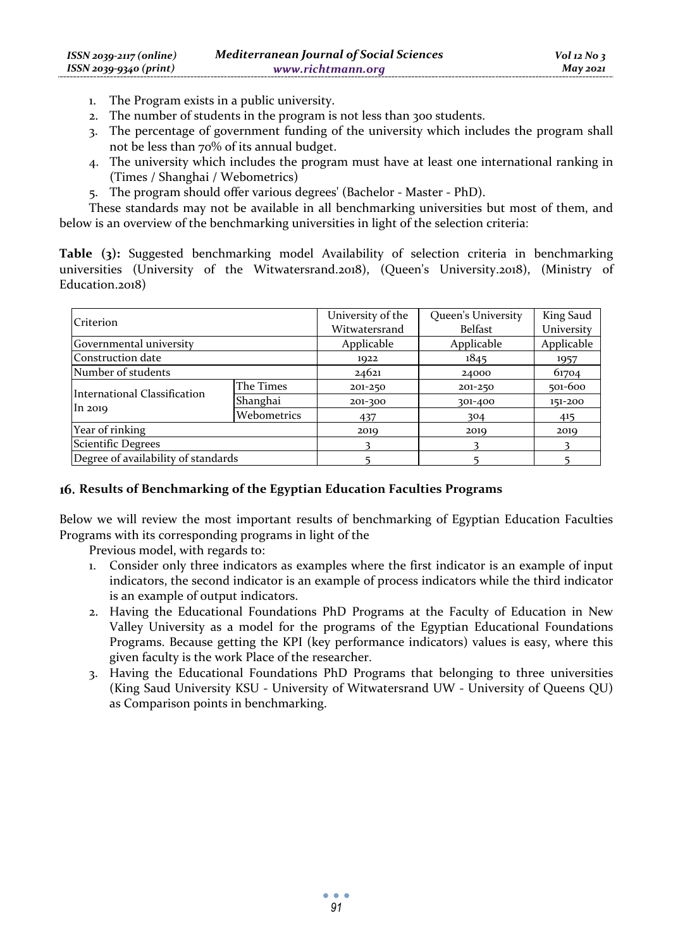- 1. The Program exists in a public university.
- 2. The number of students in the program is not less than 300 students.
- 3. The percentage of government funding of the university which includes the program shall not be less than 70% of its annual budget.
- 4. The university which includes the program must have at least one international ranking in (Times / Shanghai / Webometrics)
- 5. The program should offer various degrees' (Bachelor Master PhD).

These standards may not be available in all benchmarking universities but most of them, and below is an overview of the benchmarking universities in light of the selection criteria:

**Table (3):** Suggested benchmarking model Availability of selection criteria in benchmarking universities (University of the Witwatersrand.2018), (Queen's University.2018), (Ministry of Education.2018)

| Criterion                           |             | University of the<br>Witwatersrand | <b>Oueen's University</b><br>Belfast | King Saud<br>University |
|-------------------------------------|-------------|------------------------------------|--------------------------------------|-------------------------|
|                                     |             |                                    |                                      |                         |
| Governmental university             |             | Applicable                         | Applicable                           | Applicable              |
| Construction date                   |             | 1922                               | 1845                                 | 1957                    |
| Number of students                  |             | 24621                              | 24000                                | 61704                   |
| International Classification        | The Times   | 201-250                            | 201-250                              | 501-600                 |
|                                     | Shanghai    | 201-300                            | 301-400                              | 151-200                 |
| In 2019                             | Webometrics | 437                                | 304                                  | 415                     |
| Year of rinking                     |             | 2019                               | 2019                                 | 2019                    |
| Scientific Degrees                  |             |                                    |                                      |                         |
| Degree of availability of standards |             |                                    |                                      |                         |

### **Results of Benchmarking of the Egyptian Education Faculties Programs**

Below we will review the most important results of benchmarking of Egyptian Education Faculties Programs with its corresponding programs in light of the

Previous model, with regards to:

- 1. Consider only three indicators as examples where the first indicator is an example of input indicators, the second indicator is an example of process indicators while the third indicator is an example of output indicators.
- 2. Having the Educational Foundations PhD Programs at the Faculty of Education in New Valley University as a model for the programs of the Egyptian Educational Foundations Programs. Because getting the KPI (key performance indicators) values is easy, where this given faculty is the work Place of the researcher.
- 3. Having the Educational Foundations PhD Programs that belonging to three universities (King Saud University KSU - University of Witwatersrand UW - University of Queens QU) as Comparison points in benchmarking.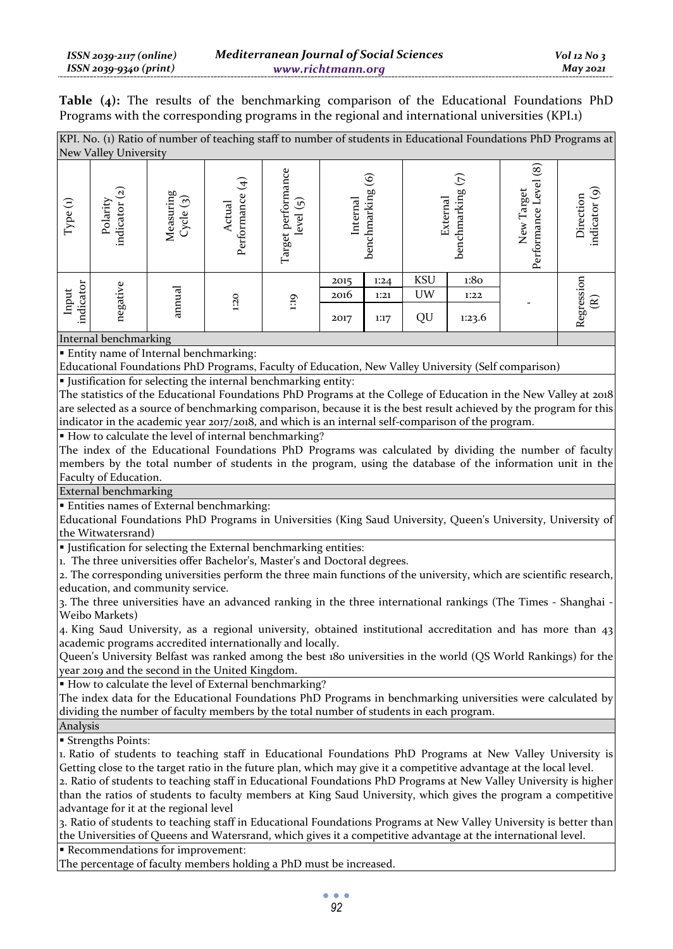**Table (4):** The results of the benchmarking comparison of the Educational Foundations PhD Programs with the corresponding programs in the regional and international universities (KPI.1)

KPI. No. (1) Ratio of number of teaching staff to number of students in Educational Foundations PhD Programs at New Valley University

| $\ominus$<br>$\ensuremath{\text{Type}}$ | $\Omega$<br>Polarity<br>indicator | Measuring<br>$\odot$<br>Cycle | $\hat{f}$<br>Performance<br>Actual | Target performance<br>$\odot$<br>level | Internal     | benchmarking (6) | External         | benchmarking (7) | Level (8)<br>New Target<br>Performance | $\widehat{\mathcal{C}}$<br>Direction<br>indicator |
|-----------------------------------------|-----------------------------------|-------------------------------|------------------------------------|----------------------------------------|--------------|------------------|------------------|------------------|----------------------------------------|---------------------------------------------------|
|                                         |                                   |                               |                                    |                                        | 2015<br>2016 | 1:24<br>1:21     | <b>KSU</b><br>UW | 1:80<br>1:22     |                                        |                                                   |
| indicator<br>Input                      | negative                          | annual                        | 1:20                               | 1:19                                   | 2017         | 1:17             | QU               | 1:23.6           |                                        | Regression<br>$\widehat{\Xi}$                     |

#### Internal benchmarking

Entity name of Internal benchmarking:

Educational Foundations PhD Programs, Faculty of Education, New Valley University (Self comparison)

Justification for selecting the internal benchmarking entity :

The statistics of the Educational Foundations PhD Programs at the College of Education in the New Valley at 2018 are selected as a source of benchmarking comparison, because it is the best result achieved by the program for this indicator in the academic year 2017/2018, and which is an internal self-comparison of the program.

How to calculate the level of internal benchmarking?

The index of the Educational Foundations PhD Programs was calculated by dividing the number of faculty members by the total number of students in the program, using the database of the information unit in the Faculty of Education.

External benchmarking

Entities names of External benchmarking:

Educational Foundations PhD Programs in Universities (King Saud University, Queen's University, University of the Witwatersrand)

Justification for selecting the External benchmarking entities:

1. The three universities offer Bachelor's, Master's and Doctoral degrees.

2. The corresponding universities perform the three main functions of the university, which are scientific research, education, and community service.

3. The three universities have an advanced ranking in the three international rankings (The Times - Shanghai - Weibo Markets)

4. King Saud University, as a regional university, obtained institutional accreditation and has more than 43 academic programs accredited internationally and locally.

Queen's University Belfast was ranked among the best 180 universities in the world (QS World Rankings) for the year 2019 and the second in the United Kingdom.

How to calculate the level of External benchmarking?

The index data for the Educational Foundations PhD Programs in benchmarking universities were calculated by dividing the number of faculty members by the total number of students in each program.

Analysis

Strengths Points :

1. Ratio of students to teaching staff in Educational Foundations PhD Programs at New Valley University is Getting close to the target ratio in the future plan, which may give it a competitive advantage at the local level.

2. Ratio of students to teaching staff in Educational Foundations PhD Programs at New Valley University is higher than the ratios of students to faculty members at King Saud University, which gives the program a competitive advantage for it at the regional level

3. Ratio of students to teaching staff in Educational Foundations Programs at New Valley University is better than the Universities of Queens and Watersrand, which gives it a competitive advantage at the international level.

Recommendations for improvement:

The percentage of faculty members holding a PhD must be increased.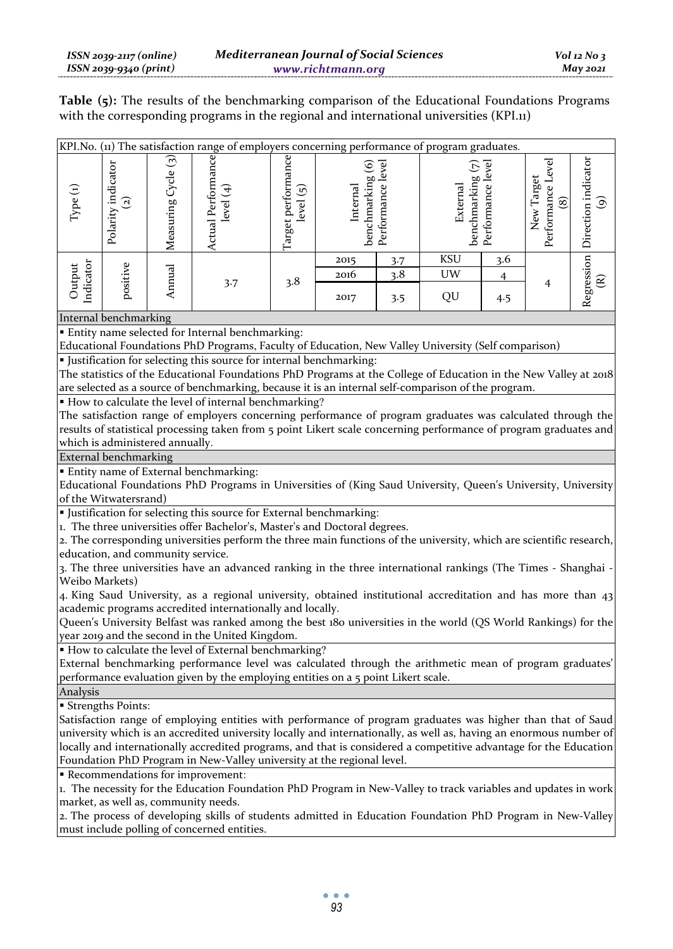**Table (5):** The results of the benchmarking comparison of the Educational Foundations Programs with the corresponding programs in the regional and international universities (KPI.11)

|                                                                                               |                                                                                                                                                    |                          | KPI.No. (11) The satisfaction range of employers concerning performance of program graduates.                                                                                                                           |                                 |          |                                       |                                                   |                |                                                  |                                       |
|-----------------------------------------------------------------------------------------------|----------------------------------------------------------------------------------------------------------------------------------------------------|--------------------------|-------------------------------------------------------------------------------------------------------------------------------------------------------------------------------------------------------------------------|---------------------------------|----------|---------------------------------------|---------------------------------------------------|----------------|--------------------------------------------------|---------------------------------------|
|                                                                                               |                                                                                                                                                    |                          |                                                                                                                                                                                                                         |                                 |          |                                       |                                                   |                |                                                  |                                       |
| Type (1)                                                                                      | Polarity indicator<br>$\mathbf{c}$                                                                                                                 | Measuring $C$ ycle $(3)$ | Actual Performance<br>level $(4)$                                                                                                                                                                                       | Target performance<br>level (5) | Internal | benchmarking (6)<br>Performance level | benchmarking (7)<br>Performance level<br>External |                | Performance Level<br>New Target<br>$\circledast$ | Direction indicator<br>$\odot$        |
|                                                                                               |                                                                                                                                                    |                          |                                                                                                                                                                                                                         |                                 | 2015     | 3.7                                   | <b>KSU</b>                                        | 3.6            |                                                  |                                       |
|                                                                                               |                                                                                                                                                    |                          |                                                                                                                                                                                                                         |                                 | 2016     | 3.8                                   | UW                                                | $\overline{4}$ |                                                  |                                       |
| ndicator<br>Output                                                                            | positive                                                                                                                                           | Annual                   | 3.7                                                                                                                                                                                                                     | 3.8                             | 2017     | 3.5                                   | QU                                                | 4.5            | 4                                                | Regression<br>$\widehat{\mathcal{E}}$ |
|                                                                                               | Internal benchmarking                                                                                                                              |                          |                                                                                                                                                                                                                         |                                 |          |                                       |                                                   |                |                                                  |                                       |
|                                                                                               |                                                                                                                                                    |                          | · Entity name selected for Internal benchmarking:                                                                                                                                                                       |                                 |          |                                       |                                                   |                |                                                  |                                       |
|                                                                                               |                                                                                                                                                    |                          | Educational Foundations PhD Programs, Faculty of Education, New Valley University (Self comparison)                                                                                                                     |                                 |          |                                       |                                                   |                |                                                  |                                       |
|                                                                                               |                                                                                                                                                    |                          | · Justification for selecting this source for internal benchmarking:                                                                                                                                                    |                                 |          |                                       |                                                   |                |                                                  |                                       |
|                                                                                               |                                                                                                                                                    |                          | The statistics of the Educational Foundations PhD Programs at the College of Education in the New Valley at 2018<br>are selected as a source of benchmarking, because it is an internal self-comparison of the program. |                                 |          |                                       |                                                   |                |                                                  |                                       |
|                                                                                               |                                                                                                                                                    |                          | How to calculate the level of internal benchmarking?                                                                                                                                                                    |                                 |          |                                       |                                                   |                |                                                  |                                       |
|                                                                                               |                                                                                                                                                    |                          | The satisfaction range of employers concerning performance of program graduates was calculated through the                                                                                                              |                                 |          |                                       |                                                   |                |                                                  |                                       |
|                                                                                               |                                                                                                                                                    |                          | results of statistical processing taken from 5 point Likert scale concerning performance of program graduates and                                                                                                       |                                 |          |                                       |                                                   |                |                                                  |                                       |
|                                                                                               | which is administered annually.                                                                                                                    |                          |                                                                                                                                                                                                                         |                                 |          |                                       |                                                   |                |                                                  |                                       |
|                                                                                               | External benchmarking                                                                                                                              |                          |                                                                                                                                                                                                                         |                                 |          |                                       |                                                   |                |                                                  |                                       |
|                                                                                               |                                                                                                                                                    |                          | <b>Entity name of External benchmarking:</b>                                                                                                                                                                            |                                 |          |                                       |                                                   |                |                                                  |                                       |
|                                                                                               |                                                                                                                                                    |                          | Educational Foundations PhD Programs in Universities of (King Saud University, Queen's University, University                                                                                                           |                                 |          |                                       |                                                   |                |                                                  |                                       |
|                                                                                               | of the Witwatersrand)                                                                                                                              |                          |                                                                                                                                                                                                                         |                                 |          |                                       |                                                   |                |                                                  |                                       |
|                                                                                               |                                                                                                                                                    |                          | · Justification for selecting this source for External benchmarking:                                                                                                                                                    |                                 |          |                                       |                                                   |                |                                                  |                                       |
|                                                                                               |                                                                                                                                                    |                          | 1. The three universities offer Bachelor's, Master's and Doctoral degrees.                                                                                                                                              |                                 |          |                                       |                                                   |                |                                                  |                                       |
|                                                                                               |                                                                                                                                                    |                          | 2. The corresponding universities perform the three main functions of the university, which are scientific research,                                                                                                    |                                 |          |                                       |                                                   |                |                                                  |                                       |
|                                                                                               | education, and community service.                                                                                                                  |                          |                                                                                                                                                                                                                         |                                 |          |                                       |                                                   |                |                                                  |                                       |
|                                                                                               |                                                                                                                                                    |                          | 3. The three universities have an advanced ranking in the three international rankings (The Times - Shanghai -                                                                                                          |                                 |          |                                       |                                                   |                |                                                  |                                       |
| Weibo Markets)                                                                                |                                                                                                                                                    |                          |                                                                                                                                                                                                                         |                                 |          |                                       |                                                   |                |                                                  |                                       |
|                                                                                               |                                                                                                                                                    |                          | 4. King Saud University, as a regional university, obtained institutional accreditation and has more than 43                                                                                                            |                                 |          |                                       |                                                   |                |                                                  |                                       |
|                                                                                               |                                                                                                                                                    |                          | academic programs accredited internationally and locally.<br>Queen's University Belfast was ranked among the best 180 universities in the world (QS World Rankings) for the                                             |                                 |          |                                       |                                                   |                |                                                  |                                       |
|                                                                                               |                                                                                                                                                    |                          | year 2019 and the second in the United Kingdom.                                                                                                                                                                         |                                 |          |                                       |                                                   |                |                                                  |                                       |
|                                                                                               |                                                                                                                                                    |                          | • How to calculate the level of External benchmarking?                                                                                                                                                                  |                                 |          |                                       |                                                   |                |                                                  |                                       |
|                                                                                               |                                                                                                                                                    |                          | External benchmarking performance level was calculated through the arithmetic mean of program graduates'                                                                                                                |                                 |          |                                       |                                                   |                |                                                  |                                       |
|                                                                                               |                                                                                                                                                    |                          |                                                                                                                                                                                                                         |                                 |          |                                       |                                                   |                |                                                  |                                       |
| performance evaluation given by the employing entities on a 5 point Likert scale.<br>Analysis |                                                                                                                                                    |                          |                                                                                                                                                                                                                         |                                 |          |                                       |                                                   |                |                                                  |                                       |
|                                                                                               | <b>Strengths Points:</b>                                                                                                                           |                          |                                                                                                                                                                                                                         |                                 |          |                                       |                                                   |                |                                                  |                                       |
|                                                                                               |                                                                                                                                                    |                          | Satisfaction range of employing entities with performance of program graduates was higher than that of Saud                                                                                                             |                                 |          |                                       |                                                   |                |                                                  |                                       |
|                                                                                               |                                                                                                                                                    |                          | university which is an accredited university locally and internationally, as well as, having an enormous number of                                                                                                      |                                 |          |                                       |                                                   |                |                                                  |                                       |
|                                                                                               | locally and internationally accredited programs, and that is considered a competitive advantage for the Education                                  |                          |                                                                                                                                                                                                                         |                                 |          |                                       |                                                   |                |                                                  |                                       |
|                                                                                               | Foundation PhD Program in New-Valley university at the regional level.                                                                             |                          |                                                                                                                                                                                                                         |                                 |          |                                       |                                                   |                |                                                  |                                       |
|                                                                                               | Recommendations for improvement:<br>1. The necessity for the Education Foundation PhD Program in New-Valley to track variables and updates in work |                          |                                                                                                                                                                                                                         |                                 |          |                                       |                                                   |                |                                                  |                                       |
|                                                                                               |                                                                                                                                                    |                          |                                                                                                                                                                                                                         |                                 |          |                                       |                                                   |                |                                                  |                                       |
|                                                                                               |                                                                                                                                                    |                          | market, as well as, community needs.                                                                                                                                                                                    |                                 |          |                                       |                                                   |                |                                                  |                                       |
|                                                                                               |                                                                                                                                                    |                          | 2. The process of developing skills of students admitted in Education Foundation PhD Program in New-Valley                                                                                                              |                                 |          |                                       |                                                   |                |                                                  |                                       |
|                                                                                               |                                                                                                                                                    |                          | must include polling of concerned entities.                                                                                                                                                                             |                                 |          |                                       |                                                   |                |                                                  |                                       |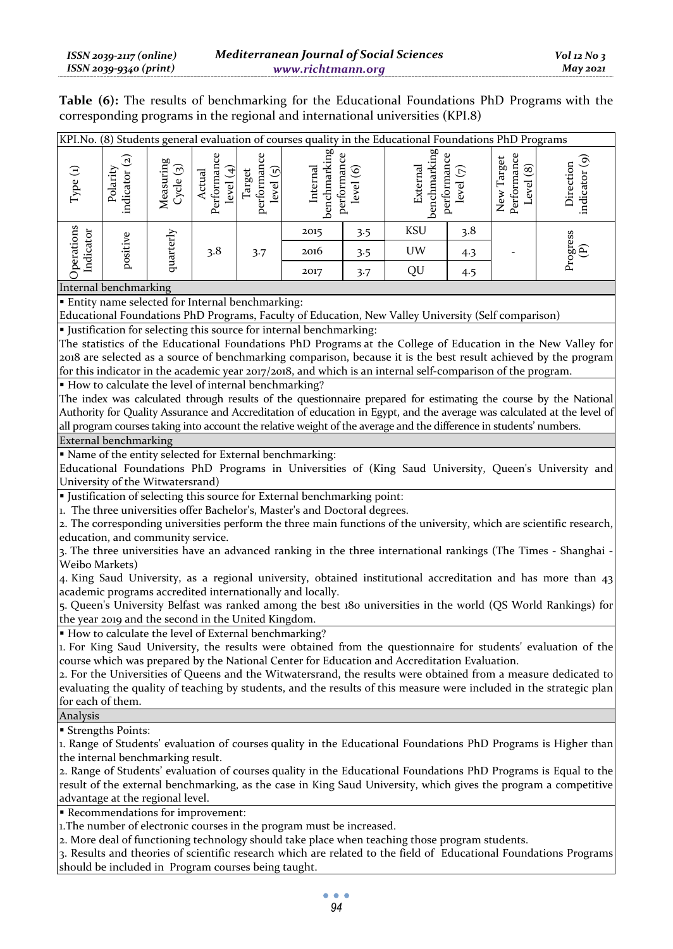**Table (6):** The results of benchmarking for the Educational Foundations PhD Programs with the corresponding programs in the regional and international universities (KPI.8)

| KPI.No. (8) Students general evaluation of courses quality in the Educational Foundations PhD Programs                                     |                                                        |                        |                                      |                                    |                                                                            |           |                                                                                                                     |             |                                        |                                                                                                                         |
|--------------------------------------------------------------------------------------------------------------------------------------------|--------------------------------------------------------|------------------------|--------------------------------------|------------------------------------|----------------------------------------------------------------------------|-----------|---------------------------------------------------------------------------------------------------------------------|-------------|----------------------------------------|-------------------------------------------------------------------------------------------------------------------------|
| Type (1)                                                                                                                                   | indicator (2)<br>Polarity                              | Measuring<br>Cycle (3) | Performance<br>level $(4)$<br>Actual | performance<br>level (5)<br>Target | benchmarking<br>performance<br>Internal                                    | level (6) | benchmarking<br>performance<br>External                                                                             | level $(7)$ | Performance<br>New Target<br>Level (8) | indicator (9)<br>Direction                                                                                              |
|                                                                                                                                            |                                                        |                        |                                      |                                    | 2015                                                                       | 3.5       | KSU                                                                                                                 | 3.8         |                                        |                                                                                                                         |
| Indicator                                                                                                                                  | positive                                               | quarterly              | 3.8                                  | 3.7                                | 2016                                                                       | 3.5       | UW                                                                                                                  | 4.3         |                                        |                                                                                                                         |
| Operations                                                                                                                                 |                                                        |                        |                                      |                                    | 2017                                                                       | $3 - 7$   | QU                                                                                                                  | 4.5         |                                        | Progress<br>(P)                                                                                                         |
|                                                                                                                                            | Internal benchmarking                                  |                        |                                      |                                    |                                                                            |           |                                                                                                                     |             |                                        |                                                                                                                         |
|                                                                                                                                            | · Entity name selected for Internal benchmarking:      |                        |                                      |                                    |                                                                            |           |                                                                                                                     |             |                                        |                                                                                                                         |
|                                                                                                                                            |                                                        |                        |                                      |                                    |                                                                            |           | Educational Foundations PhD Programs, Faculty of Education, New Valley University (Self comparison)                 |             |                                        |                                                                                                                         |
|                                                                                                                                            |                                                        |                        |                                      |                                    | Iustification for selecting this source for internal benchmarking:         |           |                                                                                                                     |             |                                        |                                                                                                                         |
|                                                                                                                                            |                                                        |                        |                                      |                                    |                                                                            |           |                                                                                                                     |             |                                        | The statistics of the Educational Foundations PhD Programs at the College of Education in the New Valley for            |
|                                                                                                                                            |                                                        |                        |                                      |                                    |                                                                            |           |                                                                                                                     |             |                                        | 2018 are selected as a source of benchmarking comparison, because it is the best result achieved by the program         |
|                                                                                                                                            |                                                        |                        |                                      |                                    |                                                                            |           | for this indicator in the academic year 2017/2018, and which is an internal self-comparison of the program.         |             |                                        |                                                                                                                         |
|                                                                                                                                            | • How to calculate the level of internal benchmarking? |                        |                                      |                                    |                                                                            |           |                                                                                                                     |             |                                        |                                                                                                                         |
|                                                                                                                                            |                                                        |                        |                                      |                                    |                                                                            |           |                                                                                                                     |             |                                        | The index was calculated through results of the questionnaire prepared for estimating the course by the National        |
|                                                                                                                                            |                                                        |                        |                                      |                                    |                                                                            |           |                                                                                                                     |             |                                        | Authority for Quality Assurance and Accreditation of education in Egypt, and the average was calculated at the level of |
|                                                                                                                                            |                                                        |                        |                                      |                                    |                                                                            |           | all program courses taking into account the relative weight of the average and the difference in students' numbers. |             |                                        |                                                                                                                         |
|                                                                                                                                            | <b>External benchmarking</b>                           |                        |                                      |                                    |                                                                            |           |                                                                                                                     |             |                                        |                                                                                                                         |
|                                                                                                                                            |                                                        |                        |                                      |                                    | " Name of the entity selected for External benchmarking:                   |           |                                                                                                                     |             |                                        |                                                                                                                         |
|                                                                                                                                            |                                                        |                        |                                      |                                    |                                                                            |           |                                                                                                                     |             |                                        | Educational Foundations PhD Programs in Universities of (King Saud University, Queen's University and                   |
|                                                                                                                                            | University of the Witwatersrand)                       |                        |                                      |                                    |                                                                            |           |                                                                                                                     |             |                                        |                                                                                                                         |
|                                                                                                                                            |                                                        |                        |                                      |                                    | " Justification of selecting this source for External benchmarking point:  |           |                                                                                                                     |             |                                        |                                                                                                                         |
|                                                                                                                                            |                                                        |                        |                                      |                                    | 1. The three universities offer Bachelor's, Master's and Doctoral degrees. |           |                                                                                                                     |             |                                        |                                                                                                                         |
|                                                                                                                                            |                                                        |                        |                                      |                                    |                                                                            |           |                                                                                                                     |             |                                        | 2. The corresponding universities perform the three main functions of the university, which are scientific research,    |
|                                                                                                                                            | education, and community service.                      |                        |                                      |                                    |                                                                            |           |                                                                                                                     |             |                                        |                                                                                                                         |
|                                                                                                                                            |                                                        |                        |                                      |                                    |                                                                            |           |                                                                                                                     |             |                                        | 3. The three universities have an advanced ranking in the three international rankings (The Times - Shanghai            |
| Weibo Markets)                                                                                                                             |                                                        |                        |                                      |                                    |                                                                            |           |                                                                                                                     |             |                                        |                                                                                                                         |
|                                                                                                                                            |                                                        |                        |                                      |                                    |                                                                            |           |                                                                                                                     |             |                                        | 4. King Saud University, as a regional university, obtained institutional accreditation and has more than 43            |
|                                                                                                                                            |                                                        |                        |                                      |                                    | academic programs accredited internationally and locally.                  |           |                                                                                                                     |             |                                        |                                                                                                                         |
|                                                                                                                                            |                                                        |                        |                                      |                                    |                                                                            |           |                                                                                                                     |             |                                        | 5. Queen's University Belfast was ranked among the best 180 universities in the world (QS World Rankings) for           |
|                                                                                                                                            | the year 2019 and the second in the United Kingdom.    |                        |                                      |                                    |                                                                            |           |                                                                                                                     |             |                                        |                                                                                                                         |
|                                                                                                                                            | • How to calculate the level of External benchmarking? |                        |                                      |                                    |                                                                            |           |                                                                                                                     |             |                                        |                                                                                                                         |
|                                                                                                                                            |                                                        |                        |                                      |                                    |                                                                            |           |                                                                                                                     |             |                                        | 1. For King Saud University, the results were obtained from the questionnaire for students' evaluation of the           |
|                                                                                                                                            |                                                        |                        |                                      |                                    |                                                                            |           | course which was prepared by the National Center for Education and Accreditation Evaluation.                        |             |                                        |                                                                                                                         |
|                                                                                                                                            |                                                        |                        |                                      |                                    |                                                                            |           |                                                                                                                     |             |                                        | 2. For the Universities of Queens and the Witwatersrand, the results were obtained from a measure dedicated to          |
| evaluating the quality of teaching by students, and the results of this measure were included in the strategic plan                        |                                                        |                        |                                      |                                    |                                                                            |           |                                                                                                                     |             |                                        |                                                                                                                         |
| for each of them.                                                                                                                          |                                                        |                        |                                      |                                    |                                                                            |           |                                                                                                                     |             |                                        |                                                                                                                         |
| Analysis                                                                                                                                   |                                                        |                        |                                      |                                    |                                                                            |           |                                                                                                                     |             |                                        |                                                                                                                         |
| <b>Strengths Points:</b><br>1. Range of Students' evaluation of courses quality in the Educational Foundations PhD Programs is Higher than |                                                        |                        |                                      |                                    |                                                                            |           |                                                                                                                     |             |                                        |                                                                                                                         |
|                                                                                                                                            |                                                        |                        |                                      |                                    |                                                                            |           |                                                                                                                     |             |                                        |                                                                                                                         |
|                                                                                                                                            | the internal benchmarking result.                      |                        |                                      |                                    |                                                                            |           |                                                                                                                     |             |                                        |                                                                                                                         |
|                                                                                                                                            |                                                        |                        |                                      |                                    |                                                                            |           |                                                                                                                     |             |                                        | 2. Range of Students' evaluation of courses quality in the Educational Foundations PhD Programs is Equal to the         |
|                                                                                                                                            |                                                        |                        |                                      |                                    |                                                                            |           |                                                                                                                     |             |                                        | result of the external benchmarking, as the case in King Saud University, which gives the program a competitive         |
|                                                                                                                                            | advantage at the regional level.                       |                        |                                      |                                    |                                                                            |           |                                                                                                                     |             |                                        |                                                                                                                         |

Recommendations for improvement :

1. The number of electronic courses in the program must be increased.

2. More deal of functioning technology should take place when teaching those program students.

3. Results and theories of scientific research which are related to the field of Educational Foundations Programs should be included in Program courses being taught.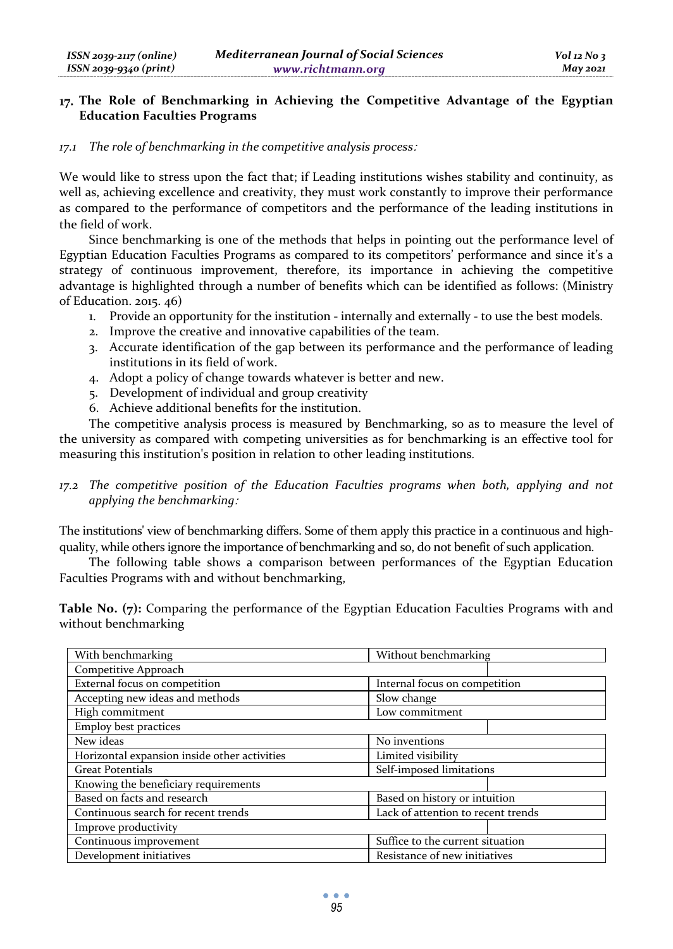### **The Role of Benchmarking in Achieving the Competitive Advantage of the Egyptian Education Faculties Programs**

#### *17.1 The role of benchmarking in the competitive analysis process*:

We would like to stress upon the fact that; if Leading institutions wishes stability and continuity, as well as, achieving excellence and creativity, they must work constantly to improve their performance as compared to the performance of competitors and the performance of the leading institutions in the field of work.

Since benchmarking is one of the methods that helps in pointing out the performance level of Egyptian Education Faculties Programs as compared to its competitors' performance and since it's a strategy of continuous improvement, therefore, its importance in achieving the competitive advantage is highlighted through a number of benefits which can be identified as follows: (Ministry of Education. 2015. 46)

- 1. Provide an opportunity for the institution internally and externally to use the best models.
- 2. Improve the creative and innovative capabilities of the team.
- 3. Accurate identification of the gap between its performance and the performance of leading institutions in its field of work.
- 4. Adopt a policy of change towards whatever is better and new.
- 5. Development of individual and group creativity
- 6. Achieve additional benefits for the institution.

The competitive analysis process is measured by Benchmarking, so as to measure the level of the university as compared with competing universities as for benchmarking is an effective tool for measuring this institution's position in relation to other leading institutions.

# *17.2 The competitive position of the Education Faculties programs when both, applying and not applying the benchmarking*:

The institutions' view of benchmarking differs. Some of them apply this practice in a continuous and highquality, while others ignore the importance of benchmarking and so, do not benefit of such application.

The following table shows a comparison between performances of the Egyptian Education Faculties Programs with and without benchmarking,

**Table No. (7):** Comparing the performance of the Egyptian Education Faculties Programs with and without benchmarking

| With benchmarking                            | Without benchmarking               |                               |  |  |
|----------------------------------------------|------------------------------------|-------------------------------|--|--|
| Competitive Approach                         |                                    |                               |  |  |
| External focus on competition                | Internal focus on competition      |                               |  |  |
| Accepting new ideas and methods              | Slow change                        |                               |  |  |
| High commitment                              | Low commitment                     |                               |  |  |
| <b>Employ best practices</b>                 |                                    |                               |  |  |
| New ideas                                    | No inventions                      |                               |  |  |
| Horizontal expansion inside other activities | Limited visibility                 |                               |  |  |
| <b>Great Potentials</b>                      | Self-imposed limitations           |                               |  |  |
| Knowing the beneficiary requirements         |                                    |                               |  |  |
| Based on facts and research                  |                                    | Based on history or intuition |  |  |
| Continuous search for recent trends          | Lack of attention to recent trends |                               |  |  |
| Improve productivity                         |                                    |                               |  |  |
| Continuous improvement                       | Suffice to the current situation   |                               |  |  |
| Development initiatives                      | Resistance of new initiatives      |                               |  |  |

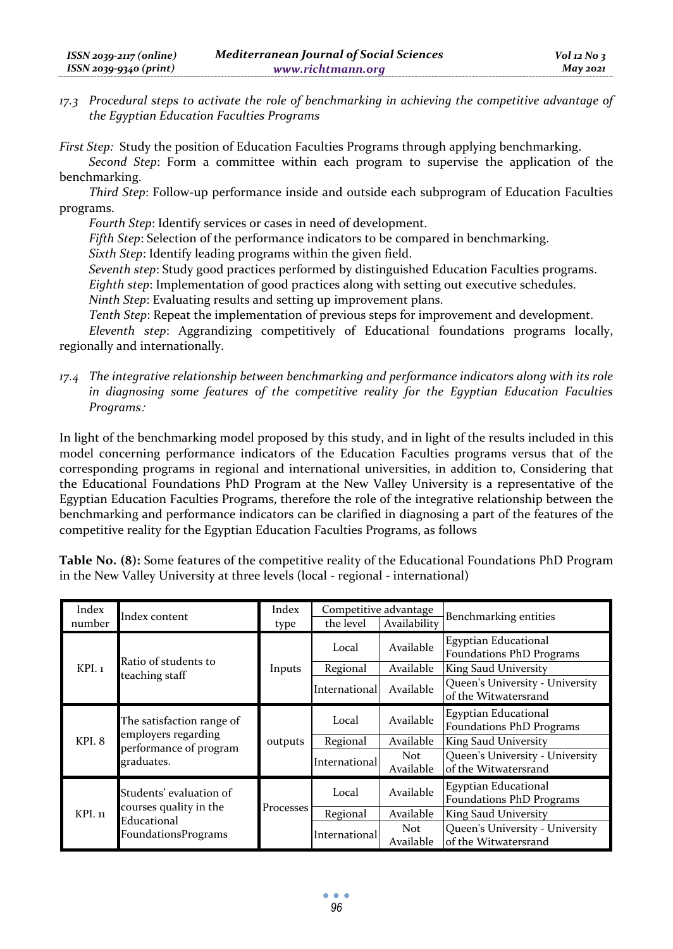*17.3 Procedural steps to activate the role of benchmarking in achieving the competitive advantage of the Egyptian Education Faculties Programs* 

*First Step:* Study the position of Education Faculties Programs through applying benchmarking.

*Second Step*: Form a committee within each program to supervise the application of the benchmarking.

*Third Step*: Follow-up performance inside and outside each subprogram of Education Faculties programs.

*Fourth Step*: Identify services or cases in need of development.

*Fifth Step*: Selection of the performance indicators to be compared in benchmarking.

*Sixth Step*: Identify leading programs within the given field.

*Seventh step*: Study good practices performed by distinguished Education Faculties programs.

*Eighth step*: Implementation of good practices along with setting out executive schedules.

*Ninth Step*: Evaluating results and setting up improvement plans.

*Tenth Step*: Repeat the implementation of previous steps for improvement and development.

*Eleventh step*: Aggrandizing competitively of Educational foundations programs locally, regionally and internationally.

*17.4 The integrative relationship between benchmarking and performance indicators along with its role in diagnosing some features of the competitive reality for the Egyptian Education Faculties Programs*:

In light of the benchmarking model proposed by this study, and in light of the results included in this model concerning performance indicators of the Education Faculties programs versus that of the corresponding programs in regional and international universities, in addition to, Considering that the Educational Foundations PhD Program at the New Valley University is a representative of the Egyptian Education Faculties Programs, therefore the role of the integrative relationship between the benchmarking and performance indicators can be clarified in diagnosing a part of the features of the competitive reality for the Egyptian Education Faculties Programs, as follows

**Table No. (8):** Some features of the competitive reality of the Educational Foundations PhD Program in the New Valley University at three levels (local - regional - international)

| Index<br>number | Index content.                                              | Index<br>type | Competitive advantage<br>Availability<br>the level |                         | Benchmarking entities                                          |
|-----------------|-------------------------------------------------------------|---------------|----------------------------------------------------|-------------------------|----------------------------------------------------------------|
|                 |                                                             |               | Local                                              | Available               | Egyptian Educational<br><b>Foundations PhD Programs</b>        |
| KPI.1           | Ratio of students to                                        | Inputs        | Regional                                           | Available               | King Saud University                                           |
|                 | teaching staff                                              |               | International                                      | Available               | Queen's University - University<br>of the Witwatersrand        |
|                 | The satisfaction range of                                   |               | Local                                              | Available               | Egyptian Educational<br><b>Foundations PhD Programs</b>        |
| KPI 8           | employers regarding<br>performance of program<br>graduates. | outputs       | Regional                                           | Available               | King Saud University                                           |
|                 |                                                             |               | International                                      | <b>Not</b><br>Available | Queen's University - University<br>of the Witwatersrand        |
|                 | Students' evaluation of                                     |               | Local                                              | Available               | Egyptian Educational<br>Foundations PhD Programs               |
| KPI. 11         | courses quality in the<br>Educational                       | Processes     | Regional                                           | Available               | King Saud University                                           |
|                 | <b>FoundationsPrograms</b>                                  |               | International                                      | Not<br>Available        | <b>Oueen's University - University</b><br>of the Witwatersrand |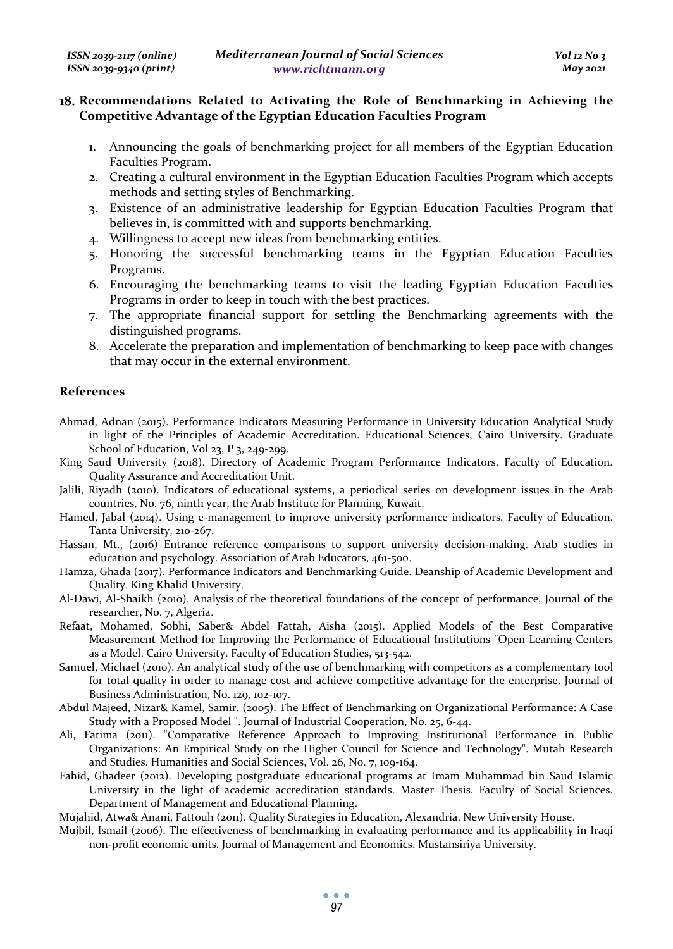### **Recommendations Related to Activating the Role of Benchmarking in Achieving the Competitive Advantage of the Egyptian Education Faculties Program**

- 1. Announcing the goals of benchmarking project for all members of the Egyptian Education Faculties Program.
- 2. Creating a cultural environment in the Egyptian Education Faculties Program which accepts methods and setting styles of Benchmarking.
- 3. Existence of an administrative leadership for Egyptian Education Faculties Program that believes in, is committed with and supports benchmarking.
- 4. Willingness to accept new ideas from benchmarking entities.
- 5. Honoring the successful benchmarking teams in the Egyptian Education Faculties Programs.
- 6. Encouraging the benchmarking teams to visit the leading Egyptian Education Faculties Programs in order to keep in touch with the best practices.
- 7. The appropriate financial support for settling the Benchmarking agreements with the distinguished programs.
- 8. Accelerate the preparation and implementation of benchmarking to keep pace with changes that may occur in the external environment.

#### **References**

- Ahmad, Adnan (2015). Performance Indicators Measuring Performance in University Education Analytical Study in light of the Principles of Academic Accreditation. Educational Sciences, Cairo University. Graduate School of Education, Vol 23, P 3, 249-299.
- King Saud University (2018). Directory of Academic Program Performance Indicators. Faculty of Education. Quality Assurance and Accreditation Unit.
- Jalili, Riyadh (2010). Indicators of educational systems, a periodical series on development issues in the Arab countries, No. 76, ninth year, the Arab Institute for Planning, Kuwait.
- Hamed, Jabal (2014). Using e-management to improve university performance indicators. Faculty of Education. Tanta University, 210-267.
- Hassan, Mt., (2016) Entrance reference comparisons to support university decision-making. Arab studies in education and psychology. Association of Arab Educators, 461-500 .
- Hamza, Ghada (2017). Performance Indicators and Benchmarking Guide. Deanship of Academic Development and Quality. King Khalid University.
- Al-Dawi, Al-Shaikh (2010). Analysis of the theoretical foundations of the concept of performance, Journal of the researcher, No. 7, Algeria.
- Refaat, Mohamed, Sobhi, Saber& Abdel Fattah, Aisha (2015). Applied Models of the Best Comparative Measurement Method for Improving the Performance of Educational Institutions "Open Learning Centers as a Model. Cairo University. Faculty of Education Studies, 513-542 .
- Samuel, Michael (2010). An analytical study of the use of benchmarking with competitors as a complementary tool for total quality in order to manage cost and achieve competitive advantage for the enterprise. Journal of Business Administration, No. 129, 102-107.
- Abdul Majeed, Nizar& Kamel, Samir. (2005). The Effect of Benchmarking on Organizational Performance: A Case Study with a Proposed Model ". Journal of Industrial Cooperation, No. 25, 6-44 .
- Ali, Fatima (2011). "Comparative Reference Approach to Improving Institutional Performance in Public Organizations: An Empirical Study on the Higher Council for Science and Technology". Mutah Research and Studies. Humanities and Social Sciences, Vol. 26, No. 7, 109-164 .
- Fahid, Ghadeer (2012). Developing postgraduate educational programs at Imam Muhammad bin Saud Islamic University in the light of academic accreditation standards. Master Thesis. Faculty of Social Sciences. Department of Management and Educational Planning .

Mujahid, Atwa& Anani, Fattouh (2011). Quality Strategies in Education, Alexandria, New University House.

Mujbil, Ismail (2006). The effectiveness of benchmarking in evaluating performance and its applicability in Iraqi non-profit economic units. Journal of Management and Economics. Mustansiriya University .